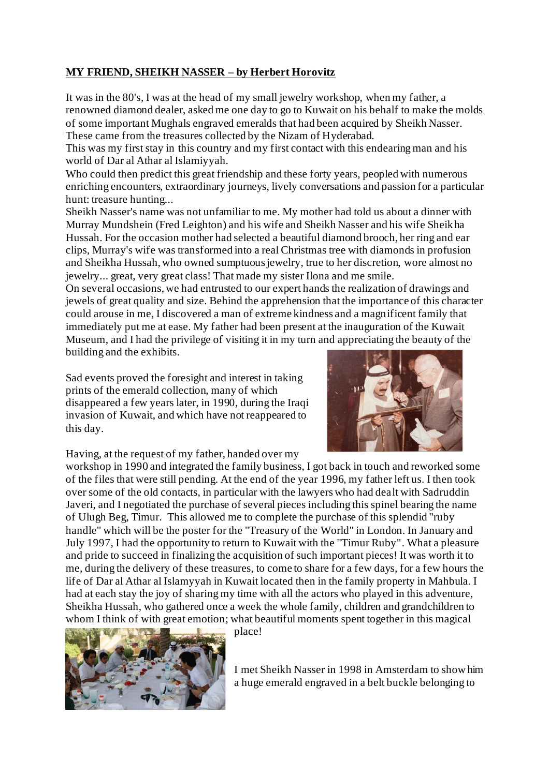## **MY FRIEND, SHEIKH NASSER – by Herbert Horovitz**

It was in the 80's, I was at the head of my small jewelry workshop, when my father, a renowned diamond dealer, asked me one day to go to Kuwait on his behalf to make the molds of some important Mughals engraved emeralds that had been acquired by Sheikh Nasser. These came from the treasures collected by the Nizam of Hyderabad.

This was my first stay in this country and my first contact with this endearing man and his world of Dar al Athar al Islamiyyah.

Who could then predict this great friendship and these forty years, peopled with numerous enriching encounters, extraordinary journeys, lively conversations and passion for a particular hunt: treasure hunting...

Sheikh Nasser's name was not unfamiliar to me. My mother had told us about a dinner with Murray Mundshein (Fred Leighton) and his wife and Sheikh Nasser and his wife Sheikha Hussah. For the occasion mother had selected a beautiful diamond brooch, her ring and ear clips, Murray's wife was transformed into a real Christmas tree with diamonds in profusion and Sheikha Hussah, who owned sumptuous jewelry, true to her discretion, wore almost no jewelry... great, very great class! That made my sister Ilona and me smile.

On several occasions, we had entrusted to our expert hands the realization of drawings and jewels of great quality and size. Behind the apprehension that the importance of this character could arouse in me, I discovered a man of extreme kindness and a magnificent family that immediately put me at ease. My father had been present at the inauguration of the Kuwait Museum, and I had the privilege of visiting it in my turn and appreciating the beauty of the building and the exhibits.

Sad events proved the foresight and interest in taking prints of the emerald collection, many of which disappeared a few years later, in 1990, during the Iraqi invasion of Kuwait, and which have not reappeared to this day.



Having, at the request of my father, handed over my

workshop in 1990 and integrated the family business, I got back in touch and reworked some of the files that were still pending. At the end of the year 1996, my father left us. I then took over some of the old contacts, in particular with the lawyers who had dealt with Sadruddin Javeri, and I negotiated the purchase of several pieces including this spinel bearing the name of Ulugh Beg, Timur. This allowed me to complete the purchase of this splendid "ruby handle" which will be the poster for the "Treasury of the World" in London. In January and July 1997, I had the opportunity to return to Kuwait with the "Timur Ruby". What a pleasure and pride to succeed in finalizing the acquisition of such important pieces! It was worth it to me, during the delivery of these treasures, to come to share for a few days, for a few hours the life of Dar al Athar al Islamyyah in Kuwait located then in the family property in Mahbula. I had at each stay the joy of sharing my time with all the actors who played in this adventure, Sheikha Hussah, who gathered once a week the whole family, children and grandchildren to whom I think of with great emotion; what beautiful moments spent together in this magical



place!

I met Sheikh Nasser in 1998 in Amsterdam to show him a huge emerald engraved in a belt buckle belonging to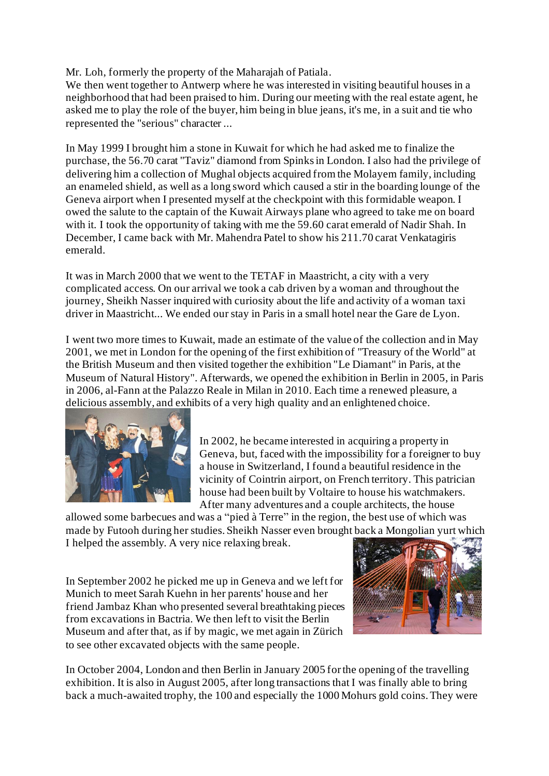Mr. Loh, formerly the property of the Maharajah of Patiala.

We then went together to Antwerp where he was interested in visiting beautiful houses in a neighborhood that had been praised to him. During our meeting with the real estate agent, he asked me to play the role of the buyer, him being in blue jeans, it's me, in a suit and tie who represented the "serious" character ...

In May 1999 I brought him a stone in Kuwait for which he had asked me to finalize the purchase, the 56.70 carat "Taviz" diamond from Spinks in London. I also had the privilege of delivering him a collection of Mughal objects acquired from the Molayem family, including an enameled shield, as well as a long sword which caused a stir in the boarding lounge of the Geneva airport when I presented myself at the checkpoint with this formidable weapon. I owed the salute to the captain of the Kuwait Airways plane who agreed to take me on board with it. I took the opportunity of taking with me the 59.60 carat emerald of Nadir Shah. In December, I came back with Mr. Mahendra Patel to show his 211.70 carat Venkatagiris emerald.

It was in March 2000 that we went to the TETAF in Maastricht, a city with a very complicated access. On our arrival we took a cab driven by a woman and throughout the journey, Sheikh Nasser inquired with curiosity about the life and activity of a woman taxi driver in Maastricht... We ended our stay in Paris in a small hotel near the Gare de Lyon.

I went two more times to Kuwait, made an estimate of the value of the collection and in May 2001, we met in London for the opening of the first exhibition of "Treasury of the World" at the British Museum and then visited together the exhibition "Le Diamant" in Paris, at the Museum of Natural History". Afterwards, we opened the exhibition in Berlin in 2005, in Paris in 2006, al-Fann at the Palazzo Reale in Milan in 2010. Each time a renewed pleasure, a delicious assembly, and exhibits of a very high quality and an enlightened choice.



In 2002, he became interested in acquiring a property in Geneva, but, faced with the impossibility for a foreigner to buy a house in Switzerland, I found a beautiful residence in the vicinity of Cointrin airport, on French territory. This patrician house had been built by Voltaire to house his watchmakers. After many adventures and a couple architects, the house

allowed some barbecues and was a "pied à Terre" in the region, the best use of which was made by Futooh during her studies. Sheikh Nasser even brought back a Mongolian yurt which I helped the assembly. A very nice relaxing break.

In September 2002 he picked me up in Geneva and we left for Munich to meet Sarah Kuehn in her parents' house and her friend Jambaz Khan who presented several breathtaking pieces from excavations in Bactria. We then left to visit the Berlin Museum and after that, as if by magic, we met again in Zürich to see other excavated objects with the same people.



In October 2004, London and then Berlin in January 2005 for the opening of the travelling exhibition. It is also in August 2005, after long transactions that I was finally able to bring back a much-awaited trophy, the 100 and especially the 1000 Mohurs gold coins. They were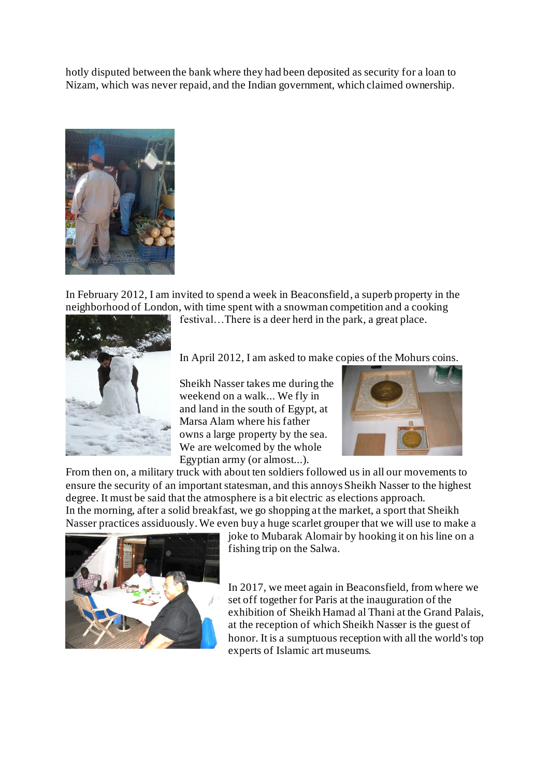hotly disputed between the bank where they had been deposited as security for a loan to Nizam, which was never repaid, and the Indian government, which claimed ownership.



In February 2012, I am invited to spend a week in Beaconsfield, a superb property in the neighborhood of London, with time spent with a snowman competition and a cooking

festival…There is a deer herd in the park, a great place.



In April 2012, I am asked to make copies of the Mohurs coins.

Sheikh Nasser takes me during the weekend on a walk... We fly in and land in the south of Egypt, at Marsa Alam where his father owns a large property by the sea. We are welcomed by the whole Egyptian army (or almost...).



From then on, a military truck with about ten soldiers followed us in all our movements to ensure the security of an important statesman, and this annoys Sheikh Nasser to the highest degree. It must be said that the atmosphere is a bit electric as elections approach. In the morning, after a solid breakfast, we go shopping at the market, a sport that Sheikh Nasser practices assiduously. We even buy a huge scarlet grouper that we will use to make a



joke to Mubarak Alomair by hooking it on his line on a fishing trip on the Salwa.

In 2017, we meet again in Beaconsfield, from where we set off together for Paris at the inauguration of the exhibition of Sheikh Hamad al Thani at the Grand Palais, at the reception of which Sheikh Nasser is the guest of honor. It is a sumptuous reception with all the world's top experts of Islamic art museums.